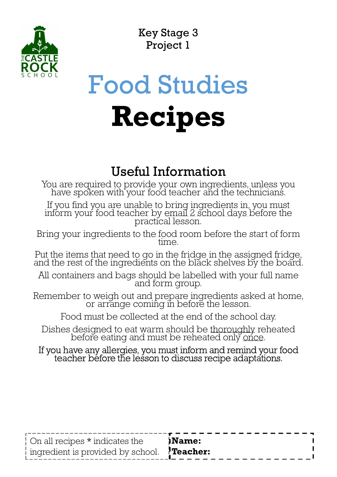

Key Stage 3 Project 1

# Food Studies Recipes

### Useful Information

You are required to provide your own ingredients, unless you have spoken with your food teacher and the technicians.

If you find you are unable to bring ingredients in, you must inform your food teacher by email 2 school days before the practical lesson. Four are equired to provide your own ingredients, unless you have spoken with your food teacher and the technicians.<br>If you find you are unable to bring ingredients in, you must inform your food teacher by email 2 school d

Bring your ingredients to the food room before the start of form<br>time.

Put the items that need to go in the fridge in the assigned fridge, and the rest of the ingredients on the black shelves by the board.

All containers and bags should be labelled with your full name and form group.

Remember to weigh out and prepare ingredients asked at home,<br>or arrange coming in before the lesson.

Food must be collected at the end of the school day.

If you have any allergies, you must inform and remind your food teacher before the lesson to discuss recipe adaptations.

| On all recipes * indicates the                    | <b>Name:</b> |
|---------------------------------------------------|--------------|
| ingredient is provided by school. <b>Teacher:</b> |              |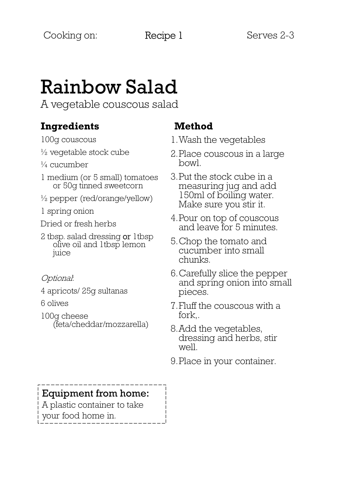### Rainbow Salad

A vegetable couscous salad

#### Ingredients

100g couscous

- $\frac{1}{2}$  vegetable stock cube
- $\frac{1}{4}$  cucumber
- 1 medium (or 5 small) tomatoes or 50g tinned sweetcorn
- $\frac{1}{2}$  pepper (red/orange/yellow)
- 1 spring onion
- Dried or fresh herbs
- 2 tbsp. salad dressing or 1tbsp olive oil and 1tbsp lemon juice
- Optional:
- 4 apricots/ 25g sultanas
- 6 olives
- 100g cheese (feta/cheddar/mozzarella)

#### Method

- 1.Wash the vegetables
- 2.Place couscous in a large bowl.
- 3.Put the stock cube in a measuring jug and add 150ml of boiling water. Make sure you stir it.
- 4.Pour on top of couscous and leave for 5 minutes.
- 5.Chop the tomato and cucumber into small chunks.
- 6.Carefully slice the pepper and spring onion into small pieces.
- 7.Fluff the couscous with a fork,.
- 8.Add the vegetables, dressing and herbs, stir well.
- 9.Place in your container.

#### Equipment from home:

A plastic container to take your food home in.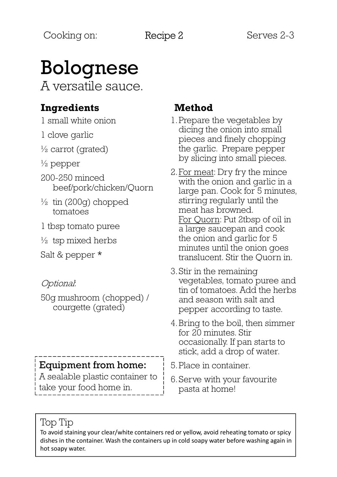## Bolognese

A versatile sauce.

#### Ingredients

1 small white onion

1 clove garlic

 $\frac{1}{2}$  carrot (grated)

- $\frac{1}{2}$  pepper
- 200-250 minced beef/pork/chicken/Quorn
- $\frac{1}{2}$  tin (200g) chopped tomatoes
- 1 tbsp tomato puree
- $\frac{1}{2}$  tsp mixed herbs

Salt & pepper \*

#### Optional:

50g mushroom (chopped) / courgette (grated)

#### Equipment from home:

A sealable plastic container to take your food home in.

#### Method

- 1.Prepare the vegetables by dicing the onion into small pieces and finely chopping the garlic. Prepare pepper by slicing into small pieces.
- 2.For meat: Dry fry the mince with the onion and garlic in a large pan. Cook for 5 minutes, stirring regularly until the meat has browned. For Quorn: Put 2tbsp of oil in a large saucepan and cook the onion and garlic for 5 minutes until the onion goes translucent. Stir the Quorn in.
- 3.Stir in the remaining vegetables, tomato puree and tin of tomatoes. Add the herbs and season with salt and pepper according to taste.
- 4.Bring to the boil, then simmer for 20 minutes. Stir occasionally. If pan starts to stick, add a drop of water.
- 5.Place in container.
- 6.Serve with your favourite pasta at home!

#### Top Tip

To avoid staining your clear/white containers red or yellow, avoid reheating tomato or spicy dishes in the container. Wash the containers up in cold soapy water before washing again in hot soapy water.